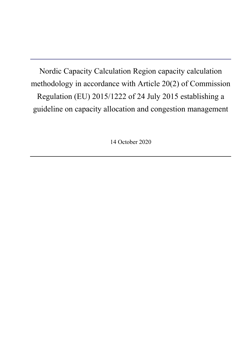Nordic Capacity Calculation Region capacity calculation methodology in accordance with Article 20(2) of Commission Regulation (EU) 2015/1222 of 24 July 2015 establishing a guideline on capacity allocation and congestion management

14 October 2020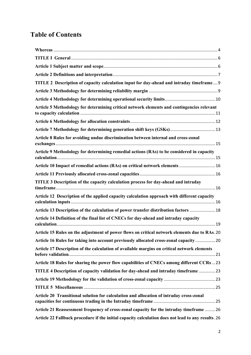# **Table of Contents**

| TITLE 2 Description of capacity calculation input for day-ahead and intraday timeframe 9           |
|----------------------------------------------------------------------------------------------------|
|                                                                                                    |
|                                                                                                    |
| Article 5 Methodology for determining critical network elements and contingencies relevant         |
|                                                                                                    |
|                                                                                                    |
| Article 8 Rules for avoiding undue discrimination between internal and cross-zonal                 |
| Article 9 Methodology for determining remedial actions (RAs) to be considered in capacity          |
| Article 10 Impact of remedial actions (RAs) on critical network elements  16                       |
|                                                                                                    |
| TITLE 3 Description of the capacity calculation process for day-ahead and intraday                 |
| Article 12 Description of the applied capacity calculation approach with different capacity        |
| Article 13 Description of the calculation of power transfer distribution factors  18               |
| Article 14 Definition of the final list of CNECs for day-ahead and intraday capacity               |
| Article 15 Rules on the adjustment of power flows on critical network elements due to RAs. 20      |
| Article 16 Rules for taking into account previously allocated cross-zonal capacity  20             |
| Article 17 Description of the calculation of available margins on critical network elements        |
| Article 18 Rules for sharing the power flow capabilities of CNECs among different CCRs23           |
| TITLE 4 Description of capacity validation for day-ahead and intraday timeframe 23                 |
|                                                                                                    |
|                                                                                                    |
| Article 20 Transitional solution for calculation and allocation of intraday cross-zonal            |
| Article 21 Reassessment frequency of cross-zonal capacity for the intraday timeframe  26           |
| Article 22 Fallback procedure if the initial capacity calculation does not lead to any results. 26 |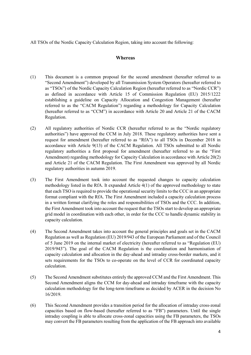<span id="page-3-0"></span>All TSOs of the Nordic Capacity Calculation Region, taking into account the following:

## **Whereas**

- (1) This document is a common proposal for the second amendment (hereafter referred to as "Second Amendment") developed by all Transmission System Operators (hereafter referred to as "TSOs") of the Nordic Capacity Calculation Region (hereafter referred to as "Nordic CCR") as defined in accordance with Article 15 of Commission Regulation (EU) 2015/1222 establishing a guideline on Capacity Allocation and Congestion Management (hereafter referred to as the "CACM Regulation") regarding a methodology for Capacity Calculation (hereafter referred to as "CCM") in accordance with Article 20 and Article 21 of the CACM Regulation.
- (2) All regulatory authorities of Nordic CCR (hereafter referred to as the "Nordic regulatory authorities") have approved the CCM in July 2018. These regulatory authorities have sent a request for amendment (hereafter referred to as "RfA") to all TSOs in December 2018 in accordance with Article 9(13) of the CACM Regulation. All TSOs submitted to all Nordic regulatory authorities a first proposal for amendment (hereafter referred to as the "First Amendment) regarding methodology for Capacity Calculation in accordance with Article 20(2) and Article 21 of the CACM Regulation. The First Amendment was approved by all Nordic regulatory authorities in autumn 2019.
- (3) The First Amendment took into account the requested changes to capacity calculation methodology listed in the RfA. It expanded Article 4(1) of the approved methodology to state that each TSO is required to provide the operational security limits to the CCC in an appropriate format compliant with the RfA. The First Amendment included a capacity calculation process in a written format clarifying the roles and responsibilities of TSOs and the CCC. In addition, the First Amendment took into account the request that the TSOs start to develop an appropriate grid model in coordination with each other, in order for the CCC to handle dynamic stability in capacity calculation.
- (4) The Second Amendment takes into account the general principles and goals set in the CACM Regulation as well as Regulation (EU) 2019/943 of the European Parliament and of the Council of 5 June 2019 on the internal market of electricity (hereafter referred to as "Regulation (EU) 2019/943"). The goal of the CACM Regulation is the coordination and harmonisation of capacity calculation and allocation in the day-ahead and intraday cross-border markets, and it sets requirements for the TSOs to co-operate on the level of CCR for coordinated capacity calculation.
- (5) The Second Amendment substitutes entirely the approved CCM and the First Amendment. This Second Amendment aligns the CCM for day-ahead and intraday timeframe with the capacity calculation methodology for the long-term timeframe as decided by ACER in the decision No 16/2019.
- (6) This Second Amendment provides a transition period for the allocation of intraday cross-zonal capacities based on flow-based (hereafter referred to as "FB") parameters. Until the single intraday coupling is able to allocate cross-zonal capacities using the FB parameters, the TSOs may convert the FB parameters resulting from the application of the FB approach into available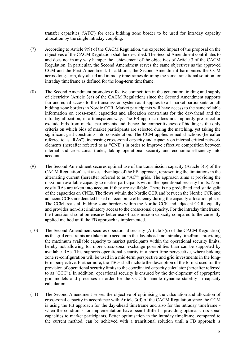transfer capacities ('ATC') for each bidding zone border to be used for intraday capacity allocation by the single intraday coupling.

- (7) According to Article 9(9) of the CACM Regulation, the expected impact of the proposal on the objectives of the CACM Regulation shall be described. The Second Amendment contributes to and does not in any way hamper the achievement of the objectives of Article 3 of the CACM Regulation. In particular, the Second Amendment serves the same objectives as the approved CCM and the First Amendment. In addition, the Second Amendment harmonises the CCM across long-term, day-ahead and intraday timeframes defining the same transitional solution for intraday timeframe as defined for the long-term timeframe.
- (8) The Second Amendment promotes effective competition in the generation, trading and supply of electricity (Article 3(a) of the CACM Regulation) since the Second Amendment supports fair and equal access to the transmission system as it applies to all market participants on all bidding zone borders in Nordic CCR. Market participants will have access to the same reliable information on cross-zonal capacities and allocation constraints for the day-ahead and the intraday allocation, in a transparent way. The FB approach does not implicitly pre-select or exclude bids from market participants and, hence the competitiveness of bidding is the only criteria on which bids of market participants are selected during the matching, yet taking the significant grid constraints into consideration. The CCM applies remedial actions (hereafter referred to as "RAs"), increasing cross-zonal capacity and capacity on internal critical network elements (hereafter referred to as "CNE") in order to improve effective competition between internal and cross-zonal trades, taking operational security and economic efficiency into account.
- (9) The Second Amendment secures optimal use of the transmission capacity (Article 3(b) of the CACM Regulation) as it takes advantage of the FB approach, representing the limitations in the alternating current (hereafter referred to as "AC") grids. The approach aims at providing the maximum available capacity to market participants within the operational security limits. Noncostly RAs are taken into account if they are available. There is no predefined and static split of the capacities on CNEs. The flows within the Nordic CCR and between the Nordic CCR and adjacent CCRs are decided based on economic efficiency during the capacity allocation phase. The CCM treats all bidding zone borders within the Nordic CCR and adjacent CCRs equally and provides non-discriminatory access to the cross-zonal capacity. For the intraday timeframe, the transitional solution ensures better use of transmission capacity compared to the currently applied method until the FB approach is implemented.
- (10) The Second Amendment secures operational security (Article 3(c) of the CACM Regulation) as the grid constraints are taken into account in the day-ahead and intraday timeframe providing the maximum available capacity to market participants within the operational security limits, hereby not allowing for more cross-zonal exchange possibilities than can be supported by available RAs. This supports operational security in a short time perspective, where bidding zone re-configuration will be used in a mid-term perspective and grid investments in the longterm perspective. Furthermore, the TSOs shall include the description of the format used for the provision of operational security limits to the coordinated capacity calculator (hereafter referred to as "CCC"). In addition, operational security is ensured by the development of appropriate grid models and processes in order for the CCC to handle dynamic stability in capacity calculation.
- (11) The Second Amendment serves the objective of optimising the calculation and allocation of cross-zonal capacity in accordance with Article 3(d) of the CACM Regulation since the CCM is using the FB approach for the day-ahead timeframe and also for the intraday timeframe when the conditions for implementation have been fulfilled - providing optimal cross-zonal capacities to market participants. Better optimisation in the intraday timeframe, compared to the current method, can be achieved with a transitional solution until a FB approach is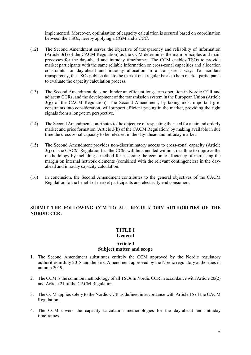implemented. Moreover, optimisation of capacity calculation is secured based on coordination between the TSOs, hereby applying a CGM and a CCC.

- (12) The Second Amendment serves the objective of transparency and reliability of information (Article 3(f) of the CACM Regulation) as the CCM determines the main principles and main processes for the day-ahead and intraday timeframes. The CCM enables TSOs to provide market participants with the same reliable information on cross-zonal capacities and allocation constraints for day-ahead and intraday allocation in a transparent way. To facilitate transparency, the TSOs publish data to the market on a regular basis to help market participants to evaluate the capacity calculation process.
- (13) The Second Amendment does not hinder an efficient long-term operation in Nordic CCR and adjacent CCRs, and the development of the transmission system in the European Union (Article 3(g) of the CACM Regulation). The Second Amendment, by taking most important grid constraints into consideration, will support efficient pricing in the market, providing the right signals from a long-term perspective.
- (14) The Second Amendment contributes to the objective of respecting the need for a fair and orderly market and price formation (Article 3(h) of the CACM Regulation) by making available in due time the cross-zonal capacity to be released in the day-ahead and intraday market.
- (15) The Second Amendment provides non-discriminatory access to cross-zonal capacity (Article 3(j) of the CACM Regulation) as the CCM will be amended within a deadline to improve the methodology by including a method for assessing the economic efficiency of increasing the margin on internal network elements (combined with the relevant contingencies) in the dayahead and intraday capacity calculation.
- (16) In conclusion, the Second Amendment contributes to the general objectives of the CACM Regulation to the benefit of market participants and electricity end consumers.

## <span id="page-5-0"></span>**SUBMIT THE FOLLOWING CCM TO ALL REGULATORY AUTHORITIES OF THE NORDIC CCR:**

# **TITLE I**

# **General**

#### **Article 1 Subject matter and scope**

- <span id="page-5-1"></span>1. The Second Amendment substitutes entirely the CCM approved by the Nordic regulatory authorities in July 2018 and the First Amendment approved by the Nordic regulatory authorities in autumn 2019.
- 2. The CCM is the common methodology of all TSOs in Nordic CCR in accordance with Article 20(2) and Article 21 of the CACM Regulation.
- 3. The CCM applies solely to the Nordic CCR as defined in accordance with Article 15 of the CACM Regulation.
- 4. The CCM covers the capacity calculation methodologies for the day-ahead and intraday timeframes.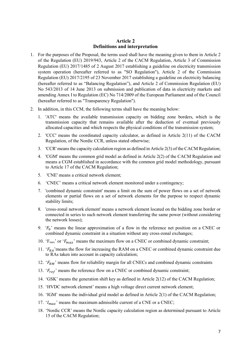## **Article 2 Definitions and interpretation**

- <span id="page-6-0"></span>1. For the purposes of the Proposal, the terms used shall have the meaning given to them in Article 2 of the Regulation (EU) 2019/943, Article 2 of the CACM Regulation, Article 3 of Commission Regulation (EU) 2017/1485 of 2 August 2017 establishing a guideline on electricity transmission system operation (hereafter referred to as "SO Regulation"), Article 2 of the Commission Regulation (EU) 2017/2195 of 23 November 2017 establishing a guideline on electricity balancing (hereafter referred to as "Balancing Regulation"), and Article 2 of Commission Regulation (EU) No 543/2013 of 14 June 2013 on submission and publication of data in electricity markets and amending Annex I to Regulation (EC) No 714/2009 of the European Parliament and of the Council (hereafter referred to as "Transparency Regulation").
- 2. In addition, in this CCM, the following terms shall have the meaning below:
	- 1. 'ATC' means the available transmission capacity on bidding zone borders, which is the transmission capacity that remains available after the deduction of eventual previously allocated capacities and which respects the physical conditions of the transmission system;
	- 2. 'CCC' means the coordinated capacity calculator, as defined in Article 2(11) of the CACM Regulation, of the Nordic CCR, unless stated otherwise;
	- 3. 'CCR' means the capacity calculation region as defined in Article 2(3) of the CACM Regulation;
	- 4. 'CGM' means the common grid model as defined in Article 2(2) of the CACM Regulation and means a CGM established in accordance with the common grid model methodology, pursuant to Article 17 of the CACM Regulation;
	- 5. 'CNE' means a critical network element;
	- 6. 'CNEC' means a critical network element monitored under a contingency;
	- 7. 'combined dynamic constraint' means a limit on the sum of power flows on a set of network elements or partial flows on a set of network elements for the purpose to respect dynamic stability limits;
	- 8. 'cross-zonal network element' means a network element located on the bidding zone border or connected in series to such network element transferring the same power (without considering the network losses);
	- 9. ' $F_0$ ' means the linear approximation of a flow in the reference net position on a CNEC or combined dynamic constraint in a situation without any cross-zonal exchanges;
	- 10. ' $F_{\text{max}}$ ' or ' $F_{\text{max}}$ ' means the maximum flow on a CNEC or combined dynamic constraint;
	- 11.  $F_{RA}$  means the flow for increasing the RAM on a CNEC or combined dynamic constraint due to RAs taken into account in capacity calculation;
	- 12.  $F_{RM}$ ' means flow for reliability margin for all CNECs and combined dynamic constraints
	- 13.  $F_{ref}$  means the reference flow on a CNEC or combined dynamic constraint;
	- 14. 'GSK' means the generation shift key as defined in Article 2(12) of the CACM Regulation;
	- 15. 'HVDC network element' means a high voltage direct current network element;
	- 16. 'IGM' means the individual grid model as defined in Article 2(1) of the CACM Regulation;
	- 17.  $I_{max}$  means the maximum admissible current of a CNE or a CNEC;
	- 18. 'Nordic CCR' means the Nordic capacity calculation region as determined pursuant to Article 15 of the CACM Regulation;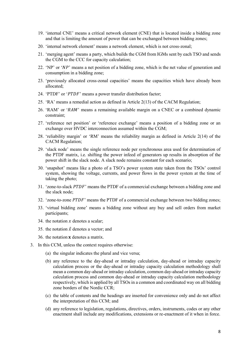- 19. 'internal CNE' means a critical network element (CNE) that is located inside a bidding zone and that is limiting the amount of power that can be exchanged between bidding zones;
- 20. 'internal network element' means a network element, which is not cross-zonal;
- 21. 'merging agent' means a party, which builds the CGM from IGMs sent by each TSO and sends the CGM to the CCC for capacity calculation;
- 22. 'NP' or ' $NP$ ' means a net position of a bidding zone, which is the net value of generation and consumption in a bidding zone;
- 23. 'previously allocated cross-zonal capacities' means the capacities which have already been allocated;
- 24. 'PTDF' or 'PTDF' means a power transfer distribution factor;
- 25. 'RA' means a remedial action as defined in Article 2(13) of the CACM Regulation;
- 26. 'RAM' or ' $RAM$ ' means a remaining available margin on a CNEC or a combined dynamic constraint;
- 27. 'reference net position' or 'reference exchange' means a position of a bidding zone or an exchange over HVDC interconnection assumed within the CGM;
- 28. 'reliability margin' or 'RM' means the reliability margin as defined in Article 2(14) of the CACM Regulation;
- 29. 'slack node' means the single reference node per synchronous area used for determination of the PTDF matrix, i.e. shifting the power infeed of generators up results in absorption of the power shift in the slack node. A slack node remains constant for each scenario;
- 30. 'snapshot' means like a photo of a TSO's power system state taken from the TSOs' control system, showing the voltage, currents, and power flows in the power system at the time of taking the photo;
- 31. 'zone-to-slack PTDF' means the PTDF of a commercial exchange between a bidding zone and the slack node;
- 32. 'zone-to-zone  $PTDF$ ' means the PTDF of a commercial exchange between two bidding zones;
- 33. 'virtual bidding zone' means a bidding zone without any buy and sell orders from market participants;
- 34. the notation  $x$  denotes a scalar;
- 35. the notation  $\vec{x}$  denotes a vector; and
- 36. the notation  $x$  denotes a matrix.
- 3. In this CCM, unless the context requires otherwise:
	- (a) the singular indicates the plural and vice versa;
	- (b) any reference to the day-ahead or intraday calculation, day-ahead or intraday capacity calculation process or the day-ahead or intraday capacity calculation methodology shall mean a common day-ahead or intraday calculation, common day-ahead or intraday capacity calculation process and common day-ahead or intraday capacity calculation methodology respectively, which is applied by all TSOs in a common and coordinated way on all bidding zone borders of the Nordic CCR;
	- (c) the table of contents and the headings are inserted for convenience only and do not affect the interpretation of this CCM; and
	- (d) any reference to legislation, regulations, directives, orders, instruments, codes or any other enactment shall include any modifications, extensions or re-enactment of it when in force.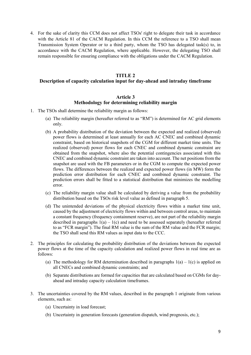4. For the sake of clarity this CCM does not affect TSOs' right to delegate their task in accordance with the Article 81 of the CACM Regulation. In this CCM the reference to a TSO shall mean Transmission System Operator or to a third party, whom the TSO has delegated task(s) to, in accordance with the CACM Regulation, where applicable. However, the delegating TSO shall remain responsible for ensuring compliance with the obligations under the CACM Regulation.

#### **TITLE 2**

# <span id="page-8-0"></span>**Description of capacity calculation input for day-ahead and intraday timeframe**

#### **Article 3 Methodology for determining reliability margin**

- <span id="page-8-1"></span>1. The TSOs shall determine the reliability margin as follows:
	- (a) The reliability margin (hereafter referred to as "RM") is determined for AC grid elements only.
	- (b) A probability distribution of the deviation between the expected and realized (observed) power flows is determined at least annually for each AC CNEC and combined dynamic constraint, based on historical snapshots of the CGM for different market time units. The realized (observed) power flows for each CNEC and combined dynamic constraint are obtained from the snapshot, where also the potential contingencies associated with this CNEC and combined dynamic constraint are taken into account. The net positions from the snapshot are used with the FB parameters or in the CGM to compute the expected power flows. The differences between the realized and expected power flows (in MW) form the prediction error distribution for each CNEC and combined dynamic constraint. The prediction errors shall be fitted to a statistical distribution that minimizes the modelling error.
	- (c) The reliability margin value shall be calculated by deriving a value from the probability distribution based on the TSOs risk level value as defined in paragraph 5.
	- (d) The unintended deviations of the physical electricity flows within a market time unit, caused by the adjustment of electricity flows within and between control areas, to maintain a constant frequency (frequency containment reserve), are not part of the reliability margin described in paragraphs  $1(a) - 1(c)$  and need to be assessed separately (hereafter referred to as "FCR margin"). The final RM value is the sum of the RM value and the FCR margin; the TSO shall send this RM values as input data to the CCC.
- 2. The principles for calculating the probability distribution of the deviations between the expected power flows at the time of the capacity calculation and realized power flows in real time are as follows:
	- (a) The methodology for RM determination described in paragraphs  $1(a) 1(c)$  is applied on all CNECs and combined dynamic constraints; and
	- (b) Separate distributions are formed for capacities that are calculated based on CGMs for dayahead and intraday capacity calculation timeframes.
- 3. The uncertainties covered by the RM values, described in the paragraph 1 originate from various elements, such as:
	- (a) Uncertainty in load forecast;
	- (b) Uncertainty in generation forecasts (generation dispatch, wind prognosis, etc.);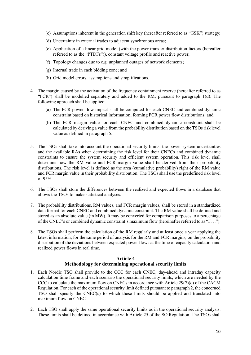- (c) Assumptions inherent in the generation shift key (hereafter referred to as "GSK") strategy;
- (d) Uncertainty in external trades to adjacent synchronous areas;
- (e) Application of a linear grid model (with the power transfer distribution factors (hereafter referred to as the "PTDFs")), constant voltage profile and reactive power;
- (f) Topology changes due to e.g. unplanned outages of network elements;
- (g) Internal trade in each bidding zone; and
- (h) Grid model errors, assumptions and simplifications.
- 4. The margin caused by the activation of the frequency containment reserve (hereafter referred to as "FCR") shall be modelled separately and added to the RM, pursuant to paragraph 1(d). The following approach shall be applied:
	- (a) The FCR power flow impact shall be computed for each CNEC and combined dynamic constraint based on historical information, forming FCR power flow distributions; and
	- (b) The FCR margin value for each CNEC and combined dynamic constraint shall be calculated by deriving a value from the probability distribution based on the TSOs risk level value as defined in paragraph 5.
- 5. The TSOs shall take into account the operational security limits, the power system uncertainties and the available RAs when determining the risk level for their CNECs and combined dynamic constraints to ensure the system security and efficient system operation. This risk level shall determine how the RM value and FCR margin value shall be derived from their probability distributions. The risk level is defined as the area (cumulative probability) right of the RM value and FCR margin value in their probability distribution. The TSOs shall use the predefined risk level of 95%.
- 6. The TSOs shall store the differences between the realized and expected flows in a database that allows the TSOs to make statistical analyses.
- 7. The probability distributions, RM values, and FCR margin values, shall be stored in a standardized data format for each CNEC and combined dynamic constraint. The RM value shall be defined and stored as an absolute value (in MW). It may be converted for comparison purposes to a percentage of the CNEC's or combined dynamic constraint's maximum flow (hereinafter referred to as " $F_{\text{max}}$ ").
- 8. The TSOs shall perform the calculation of the RM regularly and at least once a year applying the latest information, for the same period of analysis for the RM and FCR margins, on the probability distribution of the deviations between expected power flows at the time of capacity calculation and realized power flows in real time.

## **Article 4 Methodology for determining operational security limits**

- <span id="page-9-0"></span>1. Each Nordic TSO shall provide to the CCC for each CNEC, day-ahead and intraday capacity calculation time frame and each scenario the operational security limits, which are needed by the CCC to calculate the maximum flow on CNECs in accordance with Article 29(7)(c) of the CACM Regulation. For each of the operational security limit defined pursuant to paragraph 2, the concerned TSO shall specify the CNEC(s) to which these limits should be applied and translated into maximum flow on CNECs.
- 2. Each TSO shall apply the same operational security limits as in the operational security analysis. These limits shall be defined in accordance with Article 25 of the SO Regulation. The TSOs shall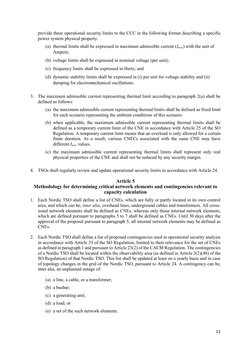provide these operational security limits to the CCC in the following format describing a specific power system physical property:

- (a) thermal limits shall be expressed in maximum admissible current  $(I_{max})$  with the unit of Ampere;
- (b) voltage limits shall be expressed in nominal voltage (per unit);
- (c) frequency limits shall be expressed in Hertz; and
- (d) dynamic stability limits shall be expressed in (i) per unit for voltage stability and (ii) damping for electromechanical oscillations.
- 3. The maximum admissible current representing thermal limit according to paragraph 2(a) shall be defined as follows:
	- (a) the maximum admissible current representing thermal limits shall be defined as fixed limit for each scenario representing the ambient conditions of this scenario.
	- (b) when applicable, the maximum admissible current representing thermal limits shall be defined as a temporary current limit of the CNE in accordance with Article 25 of the SO Regulation. A temporary current limit means that an overload is only allowed for a certain finite duration. As a result, various CNECs associated with the same CNE may have different *Imax* values.
	- (c) the maximum admissible current representing thermal limits shall represent only real physical properties of the CNE and shall not be reduced by any security margin.
- 4. TSOs shall regularly review and update operational security limits in accordance with Article 24.

#### **Article 5**

## <span id="page-10-0"></span>**Methodology for determining critical network elements and contingencies relevant to capacity calculation**

- 1. Each Nordic TSO shall define a list of CNEs, which are fully or partly located in its own control area, and which can be, *inter alia*, overhead lines, underground cables and transformers. All crosszonal network elements shall be defined as CNEs, whereas only those internal network elements, which are defined pursuant to paragraphs 5 to 7 shall be defined as CNEs. Until 30 days after the approval of the proposal pursuant to paragraph 5, all internal network elements may be defined as CNEs.
- 2. Each Nordic TSO shall define a list of proposed contingencies used in operational security analysis in accordance with Article 33 of the SO Regulation, limited to their relevance for the set of CNEs as defined in paragraph 1 and pursuant to Article 23(2) of the CACM Regulation. The contingencies of a Nordic TSO shall be located within the observability area (as defined in Article 3(2)(48) of the SO Regulation) of that Nordic TSO. This list shall be updated at least on a yearly basis and in case of topology changes in the grid of the Nordic TSO, pursuant to Article 24. A contingency can be, inter alia, an unplanned outage of:
	- (a) a line, a cable, or a transformer;
	- (b) a busbar;
	- (c) a generating unit;
	- (d) a load; or
	- (e) a set of the such network elements.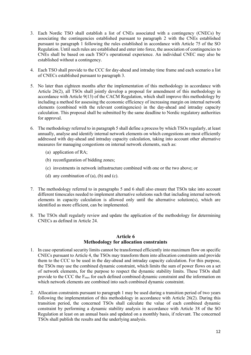- 3. Each Nordic TSO shall establish a list of CNEs associated with a contingency (CNECs) by associating the contingencies established pursuant to paragraph 2 with the CNEs established pursuant to paragraph 1 following the rules established in accordance with Article 75 of the SO Regulation. Until such rules are established and enter into force, the association of contingencies to CNEs shall be based on each TSO's operational experience. An individual CNEC may also be established without a contingency.
- 4. Each TSO shall provide to the CCC for day-ahead and intraday time frame and each scenario a list of CNECs established pursuant to paragraph 3.
- 5. No later than eighteen months after the implementation of this methodology in accordance with Article 26(2), all TSOs shall jointly develop a proposal for amendment of this methodology in accordance with Article 9(13) of the CACM Regulation, which shall improve this methodology by including a method for assessing the economic efficiency of increasing margin on internal network elements (combined with the relevant contingencies) in the day-ahead and intraday capacity calculation. This proposal shall be submitted by the same deadline to Nordic regulatory authorities for approval.
- 6. The methodology referred to in paragraph 5 shall define a process by which TSOs regularly, at least annually, analyse and identify internal network elements on which congestions are most efficiently addressed with day-ahead and intraday capacity calculation, taking into account other alternative measures for managing congestions on internal network elements, such as:
	- (a) application of RA;
	- (b) reconfiguration of bidding zones;
	- (c) investments in network infrastructure combined with one or the two above; or
	- (d) any combination of  $(a)$ ,  $(b)$  and  $(c)$ .
- 7. The methodology referred to in paragraphs 5 and 6 shall also ensure that TSOs take into account different timescales needed to implement alternative solutions such that including internal network elements in capacity calculation is allowed only until the alternative solution(s), which are identified as more efficient, can be implemented.
- 8. The TSOs shall regularly review and update the application of the methodology for determining CNECs as defined in Article 24.

## **Article 6 Methodology for allocation constraints**

- <span id="page-11-0"></span>1. In case operational security limits cannot be transformed efficiently into maximum flow on specific CNECs pursuant to Article 4, the TSOs may transform them into allocation constraints and provide them to the CCC to be used in the day-ahead and intraday capacity calculation. For this purpose, the TSOs may use the combined dynamic constraint, which limits the sum of power flows on a set of network elements, for the purpose to respect the dynamic stability limits. These TSOs shall provide to the CCC the F<sub>max</sub> for each defined combined dynamic constraint and the information on which network elements are combined into such combined dynamic constraint.
- 2. Allocation constraints pursuant to paragraph 1 may be used during a transition period of two years following the implementation of this methodology in accordance with Article 26(2). During this transition period, the concerned TSOs shall calculate the value of each combined dynamic constraint by performing a dynamic stability analysis in accordance with Article 38 of the SO Regulation at least on an annual basis and updated on a monthly basis, if relevant. The concerned TSOs shall publish the results and the underlying analysis.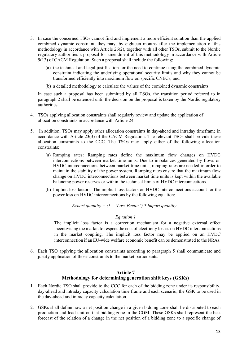- 3. In case the concerned TSOs cannot find and implement a more efficient solution than the applied combined dynamic constraint, they may, by eighteen months after the implementation of this methodology in accordance with Article 26(2), together with all other TSOs, submit to the Nordic regulatory authorities a proposal for amendment of this methodology in accordance with Article 9(13) of CACM Regulation. Such a proposal shall include the following:
	- (a) the technical and legal justification for the need to continue using the combined dynamic constraint indicating the underlying operational security limits and why they cannot be transformed efficiently into maximum flow on specific CNECs; and
	- (b) a detailed methodology to calculate the values of the combined dynamic constraints.

In case such a proposal has been submitted by all TSOs, the transition period referred to in paragraph 2 shall be extended until the decision on the proposal is taken by the Nordic regulatory authorities.

- 4. TSOs applying allocation constraints shall regularly review and update the application of allocation constraints in accordance with Article 24.
- 5. In addition, TSOs may apply other allocation constraints in day-ahead and intraday timeframe in accordance with Article  $23(3)$  of the CACM Regulation. The relevant TSOs shall provide these allocation constraints to the CCC. The TSOs may apply either of the following allocation constraints:
	- (a) Ramping rates: Ramping rates define the maximum flow changes on HVDC interconnections between market time units. Due to imbalances generated by flows on HVDC interconnections between market time units, ramping rates are needed in order to maintain the stability of the power system. Ramping rates ensure that the maximum flow change on HVDC interconnections between market time units is kept within the available balancing power reserves or within the technical limits of HVDC interconnections.
	- (b) Implicit loss factors: The implicit loss factors on HVDC interconnections account for the power loss on HVDC interconnections by the following equation:

*Export quantity =*  $(I - "Loss Factor") * Import quantity$ 

#### *Equation 1*

The implicit loss factor is a correction mechanism for a negative external effect incentivising the market to respect the cost of electricity losses on HVDC interconnections in the market coupling. The implicit loss factor may be applied on an HVDC interconnection if an EU-wide welfare economic benefit can be demonstrated to the NRAs.

6. Each TSO applying the allocation constraints according to paragraph 5 shall communicate and justify application of those constraints to the market participants.

#### **Article 7 Methodology for determining generation shift keys (GSKs)**

- <span id="page-12-0"></span>1. Each Nordic TSO shall provide to the CCC for each of the bidding zone under its responsibility, day-ahead and intraday capacity calculation time frame and each scenario, the GSK to be used in the day-ahead and intraday capacity calculation.
- 2. GSKs shall define how a net position change in a given bidding zone shall be distributed to each production and load unit on that bidding zone in the CGM. These GSKs shall represent the best forecast of the relation of a change in the net position of a bidding zone to a specific change of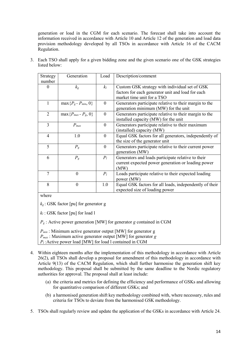generation or load in the CGM for each scenario. The forecast shall take into account the information received in accordance with Article 10 and Article 12 of the generation and load data provision methodology developed by all TSOs in accordance with Article 16 of the CACM Regulation.

| Strategy                 | Generation                   | Load     | Description/comment                                     |
|--------------------------|------------------------------|----------|---------------------------------------------------------|
| number                   |                              |          |                                                         |
| 0                        | $k_{g}$                      | $k_l$    | Custom GSK strategy with individual set of GSK          |
|                          |                              |          | factors for each generator unit and load for each       |
|                          |                              |          | market time unit for a TSO                              |
| 1                        | $\max\{P_g - P_{min}, 0\}$   | $\theta$ | Generators participate relative to their margin to the  |
|                          |                              |          | generation minimum (MW) for the unit                    |
| 2                        | $\max\{P_{max} - P_{g}, 0\}$ | $\theta$ | Generators participate relative to their margin to the  |
|                          |                              |          | installed capacity (MW) for the unit                    |
| 3                        | $P_{max}$                    | $\Omega$ | Generators participate relative to their maximum        |
|                          |                              |          | (installed) capacity (MW)                               |
| $\overline{\mathcal{A}}$ | 1.0                          | $\Omega$ | Equal GSK factors for all generators, independently of  |
|                          |                              |          | the size of the generator unit                          |
| 5                        | $P_{g}$                      | $\theta$ | Generators participate relative to their current power  |
|                          |                              |          | generation (MW)                                         |
| 6                        | $P_{g}$                      | $P_l$    | Generators and loads participate relative to their      |
|                          |                              |          | current expected power generation or loading power      |
|                          |                              |          | (MW)                                                    |
| 7                        | $\theta$                     | $P_l$    | Loads participate relative to their expected loading    |
|                          |                              |          | power (MW)                                              |
| 8                        | $\overline{0}$               | 1.0      | Equal GSK factors for all loads, independently of their |
|                          |                              |          | expected size of loading power                          |

3. Each TSO shall apply for a given bidding zone and the given scenario one of the GSK strategies listed below:

where

*kg* : GSK factor [pu] for generator g

*k<sup>l</sup>* : GSK factor [pu] for load l

 $P_g$ : Active power generation [MW] for generator *g* contained in CGM

*Pmin* : Minimum active generator output [MW] for generator g

*Pmax* : Maximum active generator output [MW] for generator *g*

*P<sup>l</sup>* :Active power load [MW] for load l contained in CGM

- 4. Within eighteen months after the implementation of this methodology in accordance with Article 26(2), all TSOs shall develop a proposal for amendment of this methodology in accordance with Article 9(13) of the CACM Regulation, which shall further harmonise the generation shift key methodology. This proposal shall be submitted by the same deadline to the Nordic regulatory authorities for approval. The proposal shall at least include:
	- (a) the criteria and metrics for defining the efficiency and performance of GSKs and allowing for quantitative comparison of different GSKs; and
	- (b) a harmonised generation shift key methodology combined with, where necessary, rules and criteria for TSOs to deviate from the harmonised GSK methodology.
- 5. TSOs shall regularly review and update the application of the GSKs in accordance with Article 24.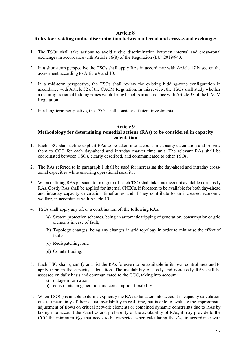#### **Article 8**

## <span id="page-14-0"></span>**Rules for avoiding undue discrimination between internal and cross-zonal exchanges**

- 1. The TSOs shall take actions to avoid undue discrimination between internal and cross-zonal exchanges in accordance with Article 16(8) of the Regulation (EU) 2019/943.
- 2. In a short-term perspective the TSOs shall apply RAs in accordance with Article 17 based on the assessment according to Article 9 and 10.
- 3. In a mid-term perspective, the TSOs shall review the existing bidding-zone configuration in accordance with Article 32 of the CACM Regulation. In this review, the TSOs shall study whether a reconfiguration of bidding zones would bring benefits in accordance with Article 33 of the CACM Regulation.
- 4. In a long-term perspective, the TSOs shall consider efficient investments.

# **Article 9**

## <span id="page-14-1"></span>**Methodology for determining remedial actions (RAs) to be considered in capacity calculation**

- 1. Each TSO shall define explicit RAs to be taken into account in capacity calculation and provide them to CCC for each day-ahead and intraday market time unit. The relevant RAs shall be coordinated between TSOs, clearly described, and communicated to other TSOs.
- 2. The RAs referred to in paragraph 1 shall be used for increasing the day-ahead and intraday crosszonal capacities while ensuring operational security.
- 3. When defining RAs pursuant to paragraph 1, each TSO shall take into account available non-costly RAs. Costly RAs shall be applied for internal CNECs, if foreseen to be available for both day-ahead and intraday capacity calculation timeframes and if they contribute to an increased economic welfare, in accordance with Article 10.
- 4. TSOs shall apply any of, or a combination of, the following RAs:
	- (a) System protection schemes, being an automatic tripping of generation, consumption or grid elements in case of fault;
	- (b) Topology changes, being any changes in grid topology in order to minimise the effect of faults;
	- (c) Redispatching; and
	- (d) Countertrading.
- 5. Each TSO shall quantify and list the RAs foreseen to be available in its own control area and to apply them in the capacity calculation. The availability of costly and non-costly RAs shall be assessed on daily basis and communicated to the CCC, taking into account:
	- a) outage information
	- b) constraints on generation and consumption flexibility
- 6. When TSO(s) is unable to define explicitly the RAs to be taken into account in capacity calculation due to uncertainty of their actual availability in real-time, but is able to evaluate the approximate adjustment of flows on critical network elements or combined dynamic constraints due to RAs by taking into account the statistics and probability of the availability of RAs, it may provide to the CCC the minimum  $F_{RA}$  that needs to be respected when calculating the  $F_{RA}$  in accordance with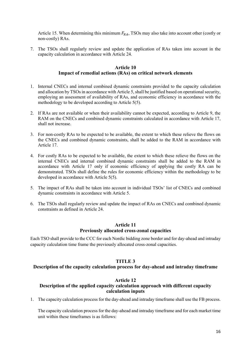Article 15. When determining this minimum  $F_{RA}$ , TSOs may also take into account other (costly or non-costly) RAs.

<span id="page-15-0"></span>7. The TSOs shall regularly review and update the application of RAs taken into account in the capacity calculation in accordance with Article 24.

#### **Article 10 Impact of remedial actions (RAs) on critical network elements**

- 1. Internal CNECs and internal combined dynamic constraints provided to the capacity calculation and allocation by TSOs in accordance with Article 5, shall be justified based on operational security, employing an assessment of availability of RAs, and economic efficiency in accordance with the methodology to be developed according to Article 5(5).
- 2. If RAs are not available or when their availability cannot be expected, according to Article 9, the RAM on the CNECs and combined dynamic constraints calculated in accordance with Article 17, shall not increase.
- 3. For non-costly RAs to be expected to be available, the extent to which these relieve the flows on the CNECs and combined dynamic constraints, shall be added to the RAM in accordance with Article 17.
- 4. For costly RAs to be expected to be available, the extent to which these relieve the flows on the internal CNECs and internal combined dynamic constraints shall be added to the RAM in accordance with Article 17 only if economic efficiency of applying the costly RA can be demonstrated. TSOs shall define the rules for economic efficiency within the methodology to be developed in accordance with Article 5(5).
- 5. The impact of RAs shall be taken into account in individual TSOs' list of CNECs and combined dynamic constraints in accordance with Article 5.
- 6. The TSOs shall regularly review and update the impact of RAs on CNECs and combined dynamic constraints as defined in Article 24.

## **Article 11**

## **Previously allocated cross-zonal capacities**

<span id="page-15-1"></span>Each TSO shall provide to the CCC for each Nordic bidding zone border and for day-ahead and intraday capacity calculation time frame the previously allocated cross-zonal capacities.

## **TITLE 3**

#### <span id="page-15-2"></span>**Description of the capacity calculation process for day-ahead and intraday timeframe**

#### **Article 12**

## <span id="page-15-3"></span>**Description of the applied capacity calculation approach with different capacity calculation inputs**

1. The capacity calculation process for the day-ahead and intraday timeframe shall use the FB process.

The capacity calculation process for the day-ahead and intraday timeframe and for each market time unit within these timeframes is as follows: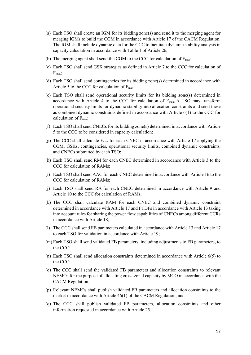- (a) Each TSO shall create an IGM for its bidding zone(s) and send it to the merging agent for merging IGMs to build the CGM in accordance with Article 17 of the CACM Regulation. The IGM shall include dynamic data for the CCC to facilitate dynamic stability analysis in capacity calculation in accordance with Table 1 of Article 26;
- (b) The merging agent shall send the CGM to the CCC for calculation of  $F_{\text{max}}$ ;
- (c) Each TSO shall send GSK strategies as defined in Article 7 to the CCC for calculation of  $F<sub>max</sub>$ ;
- (d) Each TSO shall send contingencies for its bidding zone(s) determined in accordance with Article 5 to the CCC for calculation of  $F_{\text{max}}$ ;
- (e) Each TSO shall send operational security limits for its bidding zone(s) determined in accordance with Article 4 to the CCC for calculation of  $F_{\text{max}}$ , A TSO may transform operational security limits for dynamic stability into allocation constraints and send these as combined dynamic constraints defined in accordance with Article 6(1) to the CCC for calculation of  $F_{\text{max}}$ ;
- (f) Each TSO shall send CNECs for its bidding zone(s) determined in accordance with Article 5 to the CCC to be considered in capacity calculation;
- (g) The CCC shall calculate  $F_{\text{max}}$  for each CNEC in accordance with Article 17 applying the CGM, GSKs, contingencies, operational security limits, combined dynamic constraints, and CNECs submitted by each TSO;
- (h) Each TSO shall send RM for each CNEC determined in accordance with Article 3 to the CCC for calculation of RAMs;
- (i) Each TSO shall send AAC for each CNEC determined in accordance with Article 16 to the CCC for calculation of RAMs;
- (j) Each TSO shall send RA for each CNEC determined in accordance with Article 9 and Article 10 to the CCC for calculation of RAMs;
- (k) The CCC shall calculate RAM for each CNEC and combined dynamic constraint determined in accordance with Article 17 and PTDFs in accordance with Article 13 taking into account rules for sharing the power flow capabilities of CNECs among different CCRs in accordance with Article 18;
- (l) The CCC shall send FB parameters calculated in accordance with Article 13 and Article 17 to each TSO for validation in accordance with Article 19;
- (m) Each TSO shall send validated FB parameters, including adjustments to FB parameters, to the CCC;
- (n) Each TSO shall send allocation constraints determined in accordance with Article 6(5) to the CCC;
- (o) The CCC shall send the validated FB parameters and allocation constraints to relevant NEMOs for the purpose of allocating cross-zonal capacity by MCO in accordance with the CACM Regulation;
- (p) Relevant NEMOs shall publish validated FB parameters and allocation constraints to the market in accordance with Article 46(1) of the CACM Regulation; and
- (q) The CCC shall publish validated FB parameters, allocation constraints and other information requested in accordance with Article 25.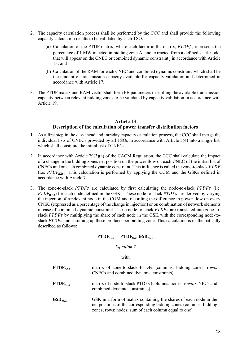- 2. The capacity calculation process shall be performed by the CCC and shall provide the following capacity calculation results to be validated by each TSO:
	- (a) Calculation of the PTDF matrix, where each factor in the matrix,  $PTDF_j^A$ , represents the percentage of 1 MW injected in bidding zone A, and extracted from a defined slack node, that will appear on the CNEC or combined dynamic constraint j in accordance with Article 13; and
	- (b) Calculation of the RAM for each CNEC and combined dynamic constraint, which shall be the amount of transmission capacity available for capacity validation and determined in accordance with Article 17.
- 3. The PTDF matrix and RAM vector shall form FB parameters describing the available transmission capacity between relevant bidding zones to be validated by capacity validation in accordance with Article 19.

#### **Article 13 Description of the calculation of power transfer distribution factors**

- <span id="page-17-0"></span>1. As a first step in the day-ahead and intraday capacity calculation process, the CCC shall merge the individual lists of CNECs provided by all TSOs in accordance with Article 5(4) into a single list, which shall constitute the initial list of CNECs.
- 2. In accordance with Article 29(3)(a) of the CACM Regulation, the CCC shall calculate the impact of a change in the bidding zones net position on the power flow on each CNEC of the initial list of CNECs and on each combined dynamic constraint. This influence is called the zone-to-slack (i.e.  $PTDF_{z2s}$ ). This calculation is performed by applying the CGM and the GSKs defined in accordance with Article 7.
- 3. The zone-to-slack  $PTDFS$  are calculated by first calculating the node-to-slack  $PTDFS$  (i.e.  $PTDF_{n2s}$ ) for each node defined in the GSKs. These node-to-slack  $PTDFs$  are derived by varying the injection of a relevant node in the CGM and recording the difference in power flow on every CNEC (expressed as a percentage of the change in injection) or on combination of network elements in case of combined dynamic constraint. These node-to-slack PTDFs are translated into zone-toslack PTDFs by multiplying the share of each node in the GSK with the corresponding node-toslack PTDFs and summing up these products per bidding zone. This calculation is mathematically described as follows:

## $\text{PTDF}_{\text{z2s}} = \text{PTDF}_{\text{n2s}} \text{GSK}_{\text{n2z}}$

## *Equation 2*

#### with

PTDF<sub>72s</sub> matrix of zone-to-slack PTDFs (columns: bidding zones; rows: CNECs and combined dynamic constraints) **PTDF** $_{n2s}$  matrix of node-to-slack PTDFs (columns: nodes; rows: CNECs and combined dynamic constraints)  $GSK$  in a form of matrix containing the shares of each node in the net positions of the corresponding bidding zones (columns: bidding zones; rows: nodes; sum of each column equal to one)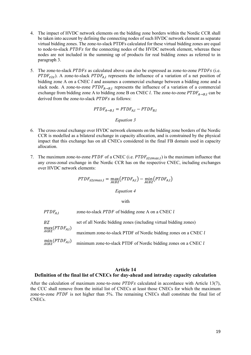- 4. The impact of HVDC network elements on the bidding zone borders within the Nordic CCR shall be taken into account by defining the connecting nodes of such HVDC network element as separate virtual bidding zones. The zone-to-slack PTDFs calculated for these virtual bidding zones are equal to node-to-slack PTDFs for the connecting nodes of the HVDC network element, whereas these nodes are not included in the summing up of products for real bidding zones as referred to in paragraph 3.
- 5. The zone-to-slack  $PTDFs$  as calculated above can also be expressed as zone-to-zone  $PTDFs$  (i.e. PTDF<sub>z2z</sub>). A zone-to-slack PTDF<sub>A,l</sub> represents the influence of a variation of a net position of bidding zone A on a CNEC  $l$  and assumes a commercial exchange between a bidding zone and a slack node. A zone-to-zone  $PTDF_{A\rightarrow B,l}$  represents the influence of a variation of a commercial exchange from bidding zone A to bidding zone B on CNEC l. The zone-to-zone  $PTDF_{A\rightarrow B,l}$  can be derived from the zone-to-slack PTDFs as follows:

$$
PTDF_{A\rightarrow B,l} = P T DF_{A,l} - P T DF_{B,l}
$$

#### *Equation 3*

- 6. The cross-zonal exchange over HVDC network elements on the bidding zone borders of the Nordic CCR is modelled as a bilateral exchange in capacity allocation, and is constrained by the physical impact that this exchange has on all CNECs considered in the final FB domain used in capacity allocation.
- 7. The maximum zone-to-zone PTDF of a CNEC (i.e.  $PTDF_{z2zmax,l}$ ) is the maximum influence that any cross-zonal exchange in the Nordic CCR has on the respective CNEC, including exchanges over HVDC network elements:

$$
PTDF_{z2zmax,l} = \max_{A \in BZ} (PTDF_{A,l}) - \min_{A \in BZ} (PTDF_{A,l})
$$

*Equation 4*

with

| $PTDF_{A,I}$                   | zone-to-slack PTDF of bidding zone A on a CNEC l                                              |
|--------------------------------|-----------------------------------------------------------------------------------------------|
| BZ.                            | set of all Nordic bidding zones (including virtual bidding zones)                             |
| $\max_{A \in BZ} (PTDF_{A,l})$ | maximum zone-to-slack PTDF of Nordic bidding zones on a CNEC l                                |
|                                | $\min_{A \in BZ} (PTDF_{A,l})$ minimum zone-to-slack PTDF of Nordic bidding zones on a CNEC l |

#### **Article 14**

#### <span id="page-18-0"></span>**Definition of the final list of CNECs for day-ahead and intraday capacity calculation**

After the calculation of maximum zone-to-zone  $PTDFS$  calculated in accordance with Article 13(7), the CCC shall remove from the initial list of CNECs at least those CNECs for which the maximum zone-to-zone  $PTDF$  is not higher than 5%. The remaining CNECs shall constitute the final list of CNECs.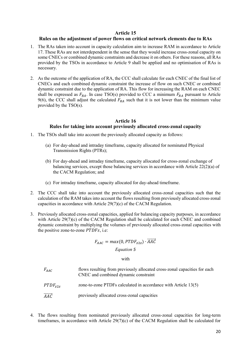#### **Article 15**

## <span id="page-19-0"></span>**Rules on the adjustment of power flows on critical network elements due to RAs**

- 1. The RAs taken into account in capacity calculation aim to increase RAM in accordance to Article 17. These RAs are not interdependent in the sense that they would increase cross-zonal capacity on some CNECs or combined dynamic constraints and decrease it on others. For these reasons, all RAs provided by the TSOs in accordance to Article 9 shall be applied and no optimisation of RAs is necessary.
- 2. As the outcome of the application of RA, the CCC shall calculate for each CNEC of the final list of CNECs and each combined dynamic constraint the increase of flow on such CNEC or combined dynamic constraint due to the application of RA. This flow for increasing the RAM on each CNEC shall be expressed as  $F_{RA}$ . In case TSO(s) provided to CCC a minimum  $F_{RA}$  pursuant to Article 9(6), the CCC shall adjust the calculated  $F_{RA}$  such that it is not lower than the minimum value provided by the TSO(s).

## **Article 16**

## **Rules for taking into account previously allocated cross-zonal capacity**

- <span id="page-19-1"></span>1. The TSOs shall take into account the previously allocated capacity as follows:
	- (a) For day-ahead and intraday timeframe, capacity allocated for nominated Physical Transmission Rights (PTRs);
	- (b) For day-ahead and intraday timeframe, capacity allocated for cross-zonal exchange of balancing services, except those balancing services in accordance with Article 22(2)(a) of the CACM Regulation; and
	- (c) For intraday timeframe, capacity allocated for day-ahead timeframe.
- 2. The CCC shall take into account the previously allocated cross-zonal capacities such that the calculation of the RAM takes into account the flows resulting from previously allocated cross-zonal capacities in accordance with Article 29(7)(c) of the CACM Regulation.
- 3. Previously allocated cross-zonal capacities, applied for balancing capacity purposes, in accordance with Article 29(7)(c) of the CACM Regulation shall be calculated for each CNEC and combined dynamic constraint by multiplying the volumes of previously allocated cross-zonal capacities with the positive zone-to-zone  $PTDFS$ , i.e:

## $F_{AAC} = max(0, P T D F_{Z2Z}) \cdot \overrightarrow{AAC}$

## *Equation 5*

#### with

| $F_{AAC}$                              | flows resulting from previously allocated cross-zonal capacities for each<br>CNEC and combined dynamic constraint |
|----------------------------------------|-------------------------------------------------------------------------------------------------------------------|
| $PTDF_{z2z}$                           | zone-to-zone PTDFs calculated in accordance with Article 13(5)                                                    |
| $\overline{A}\overline{A}\overline{C}$ | previously allocated cross-zonal capacities                                                                       |

4. The flows resulting from nominated previously allocated cross-zonal capacities for long-term timeframes, in accordance with Article 29(7)(c) of the CACM Regulation shall be calculated for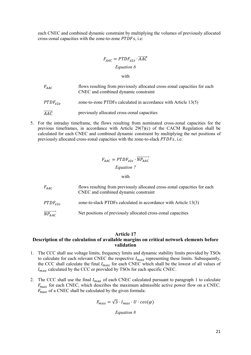each CNEC and combined dynamic constraint by multiplying the volumes of previously allocated cross-zonal capacities with the zone-to-zone  $PTDFS$ , i.e:

$$
F_{AAC} = P T D F_{Z2Z} \cdot \overrightarrow{AAC}
$$
  
Equation 6

with

| $F_{AAC}$ | flows resulting from previously allocated cross-zonal capacities for each |
|-----------|---------------------------------------------------------------------------|
|           | CNEC and combined dynamic constraint                                      |
|           |                                                                           |

- $PTDF_{727}$  zone-to-zone PTDFs calculated in accordance with Article 13(5)
- $\overrightarrow{AAC}$  previously allocated cross-zonal capacities
- 5. For the intraday timeframe, the flows resulting from nominated cross-zonal capacities for the previous timeframes, in accordance with Article 29(7)(c) of the CACM Regulation shall be calculated for each CNEC and combined dynamic constraint by multiplying the net positions of previously allocated cross-zonal capacities with the zone-to-slack  $PTDFS$ , i.e:

# $F_{AAC} = P T D F_{Z2S} \cdot \overrightarrow{NP_{AAC}}$ *Equation 7*

#### with

| $F_{AAC}$             | flows resulting from previously allocated cross-zonal capacities for each<br>CNEC and combined dynamic constraint |
|-----------------------|-------------------------------------------------------------------------------------------------------------------|
| $PTDF_{z2s}$          | zone-to-slack PTDFs calculated in accordance with Article 13(3)                                                   |
| $\overline{NP_{AAC}}$ | Net positions of previously allocated cross-zonal capacities                                                      |

## **Article 17**

## <span id="page-20-0"></span>**Description of the calculation of available margins on critical network elements before validation**

- 1. The CCC shall use voltage limits, frequency limits and dynamic stability limits provided by TSOs to calculate for each relevant CNEC the respective  $I_{max}$  representing these limits. Subsequently, the CCC shall calculate the final  $I_{max}$  for each CNEC which shall be the lowest of all values of  $I_{max}$  calculated by the CCC or provided by TSOs for each specific CNEC.
- 2. The CCC shall use the final  $I_{max}$  of each CNEC calculated pursuant to paragraph 1 to calculate  $F_{max}$  for each CNEC, which describes the maximum admissible active power flow on a CNEC.  $F_{max}$  of a CNEC shall be calculated by the given formula:

$$
F_{max} = \sqrt{3} \cdot I_{max} \cdot U \cdot \cos(\varphi)
$$

*Equation 8*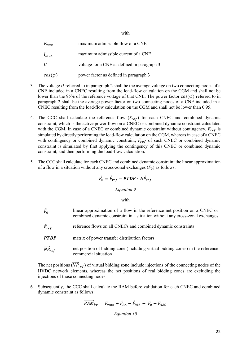| $F_{max}$      | maximum admissible flow of a CNE            |
|----------------|---------------------------------------------|
| $I_{max}$      | maximum admissible current of a CNE         |
| U              | voltage for a CNE as defined in paragraph 3 |
| $cos(\varphi)$ | power factor as defined in paragraph 3      |

- 3. The voltage U referred to in paragraph 2 shall be the average voltage on two connecting nodes of a CNE included in a CNEC resulting from the load-flow calculation on the CGM and shall not be lower than the 95% of the reference voltage of that CNE. The power factor  $cos(φ)$  referred to in paragraph 2 shall be the average power factor on two connecting nodes of a CNE included in a CNEC resulting from the load-flow calculation on the CGM and shall not be lower than 0.95.
- 4. The CCC shall calculate the reference flow  $(F_{ref})$  for each CNEC and combined dynamic constraint, which is the active power flow on a CNEC or combined dynamic constraint calculated with the CGM. In case of a CNEC or combined dynamic constraint without contingency,  $F_{ref}$  is simulated by directly performing the load-flow calculation on the CGM, whereas in case of a CNEC with contingency or combined dynamic constraint,  $F_{ref}$  of such CNEC or combined dynamic constraint is simulated by first applying the contingency of this CNEC or combined dynamic constraint, and then performing the load-flow calculation.
- 5. The CCC shall calculate for each CNEC and combined dynamic constraint the linear approximation of a flow in a situation without any cross-zonal exchanges  $(F_0)$  as follows:

$$
\vec{F}_0 = \vec{F}_{ref} - P T D F \cdot \overrightarrow{NP}_{ref}
$$

#### *Equation 9*

#### with

 $\vec{F}_0$ linear approximation of a flow in the reference net position on a CNEC or combined dynamic constraint in a situation without any cross-zonal exchanges  $\vec{F}_{ref}$  reference flows on all CNECs and combined dynamic constraints **PTDF** matrix of power transfer distribution factors  $\overrightarrow{NP}_{ref}$  net position of bidding zone (including virtual bidding zones) in the reference commercial situation

The net positions  $(\overrightarrow{NP}_{ref})$  of virtual bidding zone include injections of the connecting nodes of the HVDC network elements, whereas the net positions of real bidding zones are excluding the injections of those connecting nodes.

6. Subsequently, the CCC shall calculate the RAM before validation for each CNEC and combined dynamic constraint as follows:

$$
\overline{RAM}_{bv} = \vec{F}_{max} + \vec{F}_{RA} - \vec{F}_{RM} - \vec{F}_{0} - \vec{F}_{AAC}
$$
  
Equation 10

#### with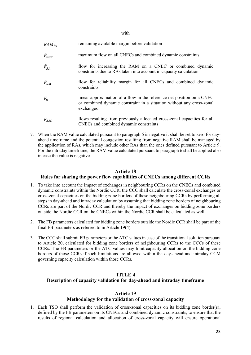with

| $RAM_{hv}$      | remaining available margin before validation                                                                                                                 |
|-----------------|--------------------------------------------------------------------------------------------------------------------------------------------------------------|
| $\vec{F}_{max}$ | maximum flow on all CNECs and combined dynamic constraints                                                                                                   |
| $\vec{F}_{RA}$  | flow for increasing the RAM on a CNEC or combined dynamic<br>constraints due to RAs taken into account in capacity calculation                               |
| $\vec{F}_{RM}$  | flow for reliability margin for all CNECs and combined dynamic<br>constraints                                                                                |
| $\vec{F}_0$     | linear approximation of a flow in the reference net position on a CNEC<br>or combined dynamic constraint in a situation without any cross-zonal<br>exchanges |
| $\vec{F}_{AAC}$ | flows resulting from previously allocated cross-zonal capacities for all<br>CNECs and combined dynamic constraints                                           |

7. When the RAM value calculated pursuant to paragraph 6 is negative it shall be set to zero for dayahead timeframe and the potential congestion resulting from negative RAM shall be managed by the application of RAs, which may include other RAs than the ones defined pursuant to Article 9. For the intraday timeframe, the RAM value calculated pursuant to paragraph 6 shall be applied also in case the value is negative.

## **Article 18**

## <span id="page-22-0"></span>**Rules for sharing the power flow capabilities of CNECs among different CCRs**

- 1. To take into account the impact of exchanges in neighbouring CCRs on the CNECs and combined dynamic constraints within the Nordic CCR, the CCC shall calculate the cross-zonal exchanges or cross-zonal capacities on the bidding zone borders of these neighbouring CCRs by performing all steps in day-ahead and intraday calculation by assuming that bidding zone borders of neighbouring CCRs are part of the Nordic CCR and thereby the impact of exchanges on bidding zone borders outside the Nordic CCR on the CNECs within the Nordic CCR shall be calculated as well.
- 2. The FB parameters calculated for bidding zone borders outside the Nordic CCR shall be part of the final FB parameters as referred to in Article 19(4).
- 3. The CCC shall submit FB parameters or the ATC values in case of the transitional solution pursuant to Article 20, calculated for bidding zone borders of neighbouring CCRs to the CCCs of these CCRs. The FB parameters or the ATC values may limit capacity allocation on the bidding zone borders of those CCRs if such limitations are allowed within the day-ahead and intraday CCM governing capacity calculation within those CCRs.

## <span id="page-22-1"></span>**TITLE 4 Description of capacity validation for day-ahead and intraday timeframe**

#### **Article 19**

## **Methodology for the validation of cross-zonal capacity**

<span id="page-22-2"></span>1. Each TSO shall perform the validation of cross-zonal capacities on its bidding zone border(s), defined by the FB parameters on its CNECs and combined dynamic constraints, to ensure that the results of regional calculation and allocation of cross-zonal capacity will ensure operational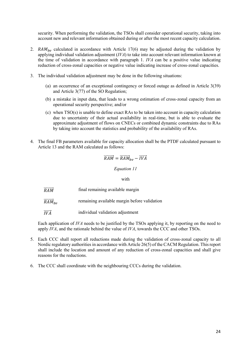security. When performing the validation, the TSOs shall consider operational security, taking into account new and relevant information obtained during or after the most recent capacity calculation.

- 2.  $RAM_{hv}$  calculated in accordance with Article 17(6) may be adjusted during the validation by applying individual validation adjustment (*IVA*) to take into account relevant information known at the time of validation in accordance with paragraph 1. *IVA* can be a positive value indicating reduction of cross-zonal capacities or negative value indicating increase of cross-zonal capacities.
- 3. The individual validation adjustment may be done in the following situations:
	- (a) an occurrence of an exceptional contingency or forced outage as defined in Article 3(39) and Article 3(77) of the SO Regulation;
	- (b) a mistake in input data, that leads to a wrong estimation of cross-zonal capacity from an operational security perspective; and/or
	- (c) when TSO(s) is unable to define exact RAs to be taken into account in capacity calculation due to uncertainty of their actual availability in real-time, but is able to evaluate the approximate adjustment of flows on CNECs or combined dynamic constraints due to RAs by taking into account the statistics and probability of the availability of RAs.
- 4. The final FB parameters available for capacity allocation shall be the PTDF calculated pursuant to Article 13 and the RAM calculated as follows:

$$
\overrightarrow{RAM} = \overrightarrow{RAM}_{bv} - \overrightarrow{IVA}
$$

*Equation 11*

with

- $\overrightarrow{RAM}$  final remaining available margin
- $RAM_{\text{hs}}$ remaining available margin before validation
- $\overrightarrow{IVA}$  individual validation adjustment

Each application of *IVA* needs to be justified by the TSOs applying it, by reporting on the need to apply *IVA*, and the rationale behind the value of *IVA*, towards the CCC and other TSOs.

- 5. Each CCC shall report all reductions made during the validation of cross-zonal capacity to all Nordic regulatory authorities in accordance with Article 26(5) of the CACM Regulation. This report shall include the location and amount of any reduction of cross-zonal capacities and shall give reasons for the reductions.
- 6. The CCC shall coordinate with the neighbouring CCCs during the validation.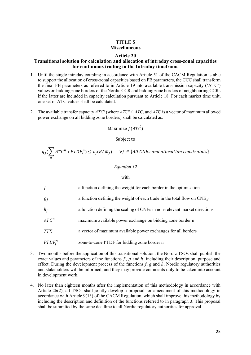## **TITLE 5 Miscellaneous**

#### **Article 20**

## <span id="page-24-1"></span><span id="page-24-0"></span>**Transitional solution for calculation and allocation of intraday cross-zonal capacities for continuous trading in the Intraday timeframe**

- 1. Until the single intraday coupling in accordance with Article 51 of the CACM Regulation is able to support the allocation of cross-zonal capacities based on FB parameters, the CCC shall transform the final FB parameters as referred to in Article 19 into available transmission capacity ('ATC') values on bidding zone borders of the Nordic CCR and bidding zone borders of neighbouring CCRs if the latter are included in capacity calculation pursuant to Article 18. For each market time unit, one set of ATC values shall be calculated.
- 2. The available transfer capacity  $ATC<sup>n</sup>$  (where  $ATC<sup>n</sup> \in ATC$ , and  $ATC$  is a vector of maximum allowed power exchange on all bidding zone borders) shall be calculated as:

## Maximize  $f(\overrightarrow{ATC})$

#### Subject to

$$
g_j(\sum_n ATC^n * PTDF_j^n) \le h_j(RAM_j) \quad \forall j \in \{All \; CNEs \; and \; allocation \; constraints\}
$$

#### *Equation 12*

#### with

| $\int$                 | a function defining the weight for each border in the optimisation        |
|------------------------|---------------------------------------------------------------------------|
| $g_i$                  | a function defining the weight of each trade in the total flow on CNE $j$ |
| $h_i$                  | a function defining the scaling of CNEs in non-relevant market directions |
| $ATC^n$                | maximum available power exchange on bidding zone border n                 |
| $\overrightarrow{ATC}$ | a vector of maximum available power exchanges for all borders             |
| $PTDF_i^n$             | zone-to-zone PTDF for bidding zone border n                               |

- 3. Two months before the application of this transitional solution, the Nordic TSOs shall publish the exact values and parameters of the functions  $f$ ,  $g$  and  $h$ , including their description, purpose and effect. During the development process of the functions *f*, *g* and *h*, Nordic regulatory authorities and stakeholders will be informed, and they may provide comments duly to be taken into account in development work.
- 4. No later than eighteen months after the implementation of this methodology in accordance with Article 26(2), all TSOs shall jointly develop a proposal for amendment of this methodology in accordance with Article 9(13) of the CACM Regulation, which shall improve this methodology by including the description and definition of the functions referred to in paragraph 3. This proposal shall be submitted by the same deadline to all Nordic regulatory authorities for approval.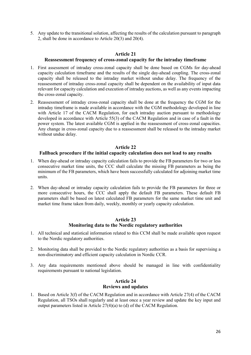5. Any update to the transitional solution, affecting the results of the calculation pursuant to paragraph 2, shall be done in accordance to Article 20(3) and 20(4).

#### **Article 21 Reassessment frequency of cross-zonal capacity for the intraday timeframe**

- <span id="page-25-0"></span>1. First assessment of intraday cross-zonal capacity shall be done based on CGMs for day-ahead capacity calculation timeframe and the results of the single day-ahead coupling. The cross-zonal capacity shall be released to the intraday market without undue delay. The frequency of the reassessment of intraday cross-zonal capacity shall be dependent on the availability of input data relevant for capacity calculation and execution of intraday auctions, as well as any events impacting the cross-zonal capacity.
- 2. Reassessment of intraday cross-zonal capacity shall be done at the frequency the CGM for the intraday timeframe is made available in accordance with the CGM methodology developed in line with Article 17 of the CACM Regulation, for each intraday auction pursuant to methodology developed in accordance with Article 55(3) of the CACM Regulation and in case of a fault in the power system. The latest available CGM is applied in the reassessment of cross-zonal capacities. Any change in cross-zonal capacity due to a reassessment shall be released to the intraday market without undue delay.

## **Article 22**

## <span id="page-25-1"></span>**Fallback procedure if the initial capacity calculation does not lead to any results**

- 1. When day-ahead or intraday capacity calculation fails to provide the FB parameters for two or less consecutive market time units, the CCC shall calculate the missing FB parameters as being the minimum of the FB parameters, which have been successfully calculated for adjoining market time units.
- 2. When day-ahead or intraday capacity calculation fails to provide the FB parameters for three or more consecutive hours, the CCC shall apply the default FB parameters. These default FB parameters shall be based on latest calculated FB parameters for the same market time unit and market time frame taken from daily, weekly, monthly or yearly capacity calculation.

## **Article 23 Monitoring data to the Nordic regulatory authorities**

- <span id="page-25-2"></span>1. All technical and statistical information related to this CCM shall be made available upon request to the Nordic regulatory authorities.
- 2. Monitoring data shall be provided to the Nordic regulatory authorities as a basis for supervising a non-discriminatory and efficient capacity calculation in Nordic CCR.
- 3. Any data requirements mentioned above should be managed in line with confidentiality requirements pursuant to national legislation.

## **Article 24 Reviews and updates**

<span id="page-25-3"></span>1. Based on Article 3(f) of the CACM Regulation and in accordance with Article 27(4) of the CACM Regulation, all TSOs shall regularly and at least once a year review and update the key input and output parameters listed in Article 27(4)(a) to (d) of the CACM Regulation.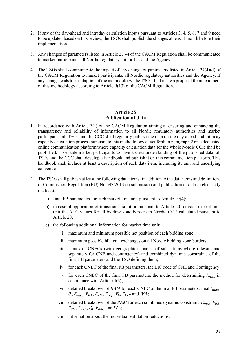- 2. If any of the day-ahead and intraday calculation inputs pursuant to Articles 3, 4, 5, 6, 7 and 9 need to be updated based on this review, the TSOs shall publish the changes at least 1 month before their implementation.
- 3. Any changes of parameters listed in Article 27(4) of the CACM Regulation shall be communicated to market participants, all Nordic regulatory authorities and the Agency.
- 4. The TSOs shall communicate the impact of any change of parameters listed in Article 27(4)(d) of the CACM Regulation to market participants, all Nordic regulatory authorities and the Agency. If any change leads to an adaption of the methodology, the TSOs shall make a proposal for amendment of this methodology according to Article 9(13) of the CACM Regulation.

## **Article 25 Publication of data**

- <span id="page-26-0"></span>1. In accordance with Article 3(f) of the CACM Regulation aiming at ensuring and enhancing the transparency and reliability of information to all Nordic regulatory authorities and market participants, all TSOs and the CCC shall regularly publish the data on the day-ahead and intraday capacity calculation process pursuant to this methodology as set forth in paragraph 2 on a dedicated online communication platform where capacity calculation data for the whole Nordic CCR shall be published. To enable market participants to have a clear understanding of the published data, all TSOs and the CCC shall develop a handbook and publish it on this communication platform. This handbook shall include at least a description of each data item, including its unit and underlying convention.
- 2. The TSOs shall publish at least the following data items (in addition to the data items and definitions of Commission Regulation (EU) No 543/2013 on submission and publication of data in electricity markets):
	- a) final FB parameters for each market time unit pursuant to Article 19(4);
	- b) in case of application of transitional solution pursuant to Article 20 for each market time unit the ATC values for all bidding zone borders in Nordic CCR calculated pursuant to Article 20;
	- c) the following additional information for market time unit:
		- i. maximum and minimum possible net position of each bidding zone;
		- ii. maximum possible bilateral exchanges on all Nordic bidding zone borders;
		- iii. names of CNECs (with geographical names of substations where relevant and separately for CNE and contingency) and combined dynamic constraints of the final FB parameters and the TSO defining them;
		- iv. for each CNEC of the final FB parameters, the EIC code of CNE and Contingency;
		- v. for each CNEC of the final FB parameters, the method for determining  $I_{max}$  in accordance with Article 4(3);
		- vi. detailed breakdown of RAM for each CNEC of the final FB parameters: final  $I_{max}$ , U,  $F_{max}$ ,  $F_{RA}$ ,  $F_{RM}$ ,  $F_{ref}$ ,  $F_0$ ,  $F_{AAC}$  and IVA;
		- vii. detailed breakdown of the RAM for each combined dynamic constraint:  $F_{max}$ ,  $F_{RA}$ ,  $F_{RM}$ ,  $F_{ref}$ ,  $F_0$ ,  $F_{AAC}$  and IVA;
		- viii. information about the individual validation reductions: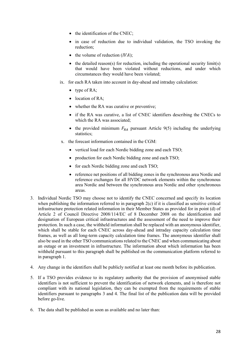- the identification of the CNEC;
- in case of reduction due to individual validation, the TSO invoking the reduction;
- the volume of reduction  $(IVA)$ ;
- the detailed reason(s) for reduction, including the operational security limit(s) that would have been violated without reductions, and under which circumstances they would have been violated;
- ix. for each RA taken into account in day-ahead and intraday calculation:
	- type of RA;
	- location of RA;
	- whether the RA was curative or preventive;
	- if the RA was curative, a list of CNEC identifiers describing the CNECs to which the RA was associated;
	- the provided minimum  $F_{RA}$  pursuant Article 9(5) including the underlying statistics;
- x. the forecast information contained in the CGM:
	- vertical load for each Nordic bidding zone and each TSO;
	- production for each Nordic bidding zone and each TSO;
	- for each Nordic bidding zone and each TSO;
	- reference net positions of all bidding zones in the synchronous area Nordic and reference exchanges for all HVDC network elements within the synchronous area Nordic and between the synchronous area Nordic and other synchronous areas.
- 3. Individual Nordic TSO may choose not to identify the CNEC concerned and specify its location when publishing the information referred to in paragraph  $2(c)$  if it is classified as sensitive critical infrastructure protection related information in their Member States as provided for in point (d) of Article 2 of Council Directive 2008/114/EC of 8 December 2008 on the identification and designation of European critical infrastructures and the assessment of the need to improve their protection. In such a case, the withheld information shall be replaced with an anonymous identifier, which shall be stable for each CNEC across day-ahead and intraday capacity calculation time frames, as well as all long-term capacity calculation time frames. The anonymous identifier shall also be used in the other TSO communications related to the CNEC and when communicating about an outage or an investment in infrastructure. The information about which information has been withheld pursuant to this paragraph shall be published on the communication platform referred to in paragraph 1.
- 4. Any change in the identifiers shall be publicly notified at least one month before its publication.
- 5. If a TSO provides evidence to its regulatory authority that the provision of anonymised stable identifiers is not sufficient to prevent the identification of network elements, and is therefore not compliant with its national legislation, they can be exempted from the requirements of stable identifiers pursuant to paragraphs 3 and 4. The final list of the publication data will be provided before go-live.
- 6. The data shall be published as soon as available and no later than: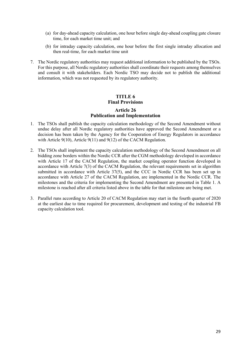- (a) for day-ahead capacity calculation, one hour before single day-ahead coupling gate closure time, for each market time unit; and
- (b) for intraday capacity calculation, one hour before the first single intraday allocation and then real-time, for each market time unit
- 7. The Nordic regulatory authorities may request additional information to be published by the TSOs. For this purpose, all Nordic regulatory authorities shall coordinate their requests among themselves and consult it with stakeholders. Each Nordic TSO may decide not to publish the additional information, which was not requested by its regulatory authority.

# **TITLE 6 Final Provisions**

# **Article 26 Publication and Implementation**

- <span id="page-28-1"></span><span id="page-28-0"></span>1. The TSOs shall publish the capacity calculation methodology of the Second Amendment without undue delay after all Nordic regulatory authorities have approved the Second Amendment or a decision has been taken by the Agency for the Cooperation of Energy Regulators in accordance with Article 9(10), Article 9(11) and 9(12) of the CACM Regulation.
- 2. The TSOs shall implement the capacity calculation methodology of the Second Amendment on all bidding zone borders within the Nordic CCR after the CGM methodology developed in accordance with Article 17 of the CACM Regulation, the market coupling operator function developed in accordance with Article 7(3) of the CACM Regulation, the relevant requirements set in algorithm submitted in accordance with Article 37(5), and the CCC in Nordic CCR has been set up in accordance with Article 27 of the CACM Regulation, are implemented in the Nordic CCR. The milestones and the criteria for implementing the Second Amendment are presented in Table 1. A milestone is reached after all criteria listed above in the table for that milestone are being met.
- 3. Parallel runs according to Article 20 of CACM Regulation may start in the fourth quarter of 2020 at the earliest due to time required for procurement, development and testing of the industrial FB capacity calculation tool.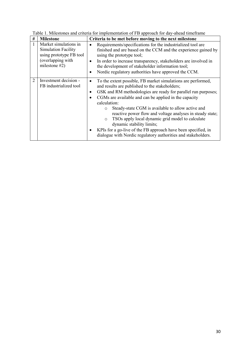| #              | <b>Milestone</b>                                                                                              | Criteria to be met before moving to the next milestone                                                                                                                                                                                                                                                                                                                                                                                                                                                                                                                                                                           |
|----------------|---------------------------------------------------------------------------------------------------------------|----------------------------------------------------------------------------------------------------------------------------------------------------------------------------------------------------------------------------------------------------------------------------------------------------------------------------------------------------------------------------------------------------------------------------------------------------------------------------------------------------------------------------------------------------------------------------------------------------------------------------------|
| 1              | Market simulations in<br>Simulation Facility<br>using prototype FB tool<br>(overlapping with<br>milestone #2) | Requirements/specifications for the industrialized tool are<br>finished and are based on the CCM and the experience gained by<br>using the prototype tool;<br>In order to increase transparency, stakeholders are involved in<br>$\bullet$<br>the development of stakeholder information tool;<br>Nordic regulatory authorities have approved the CCM.                                                                                                                                                                                                                                                                           |
| $\overline{2}$ | Investment decision -<br>FB industrialized tool                                                               | To the extent possible, FB market simulations are performed,<br>and results are published to the stakeholders;<br>GSK and RM methodologies are ready for parallel run purposes;<br>$\bullet$<br>CGMs are available and can be applied in the capacity<br>calculation:<br>Steady-state CGM is available to allow active and<br>$\circ$<br>reactive power flow and voltage analyses in steady state;<br>TSOs apply local dynamic grid model to calculate<br>$\circ$<br>dynamic stability limits;<br>KPIs for a go-live of the FB approach have been specified, in<br>dialogue with Nordic regulatory authorities and stakeholders. |

Table 1. Milestones and criteria for implementation of FB approach for day-ahead timeframe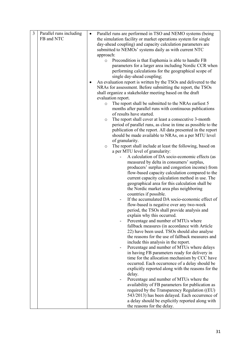| 3 | Parallel runs including | Parallel runs are performed in TSO and NEMO systems (being           |
|---|-------------------------|----------------------------------------------------------------------|
|   | FB and NTC              | the simulation facility or market operations system for single       |
|   |                         |                                                                      |
|   |                         | day-ahead coupling) and capacity calculation parameters are          |
|   |                         | submitted to NEMOs' systems daily as with current NTC                |
|   |                         | approach:                                                            |
|   |                         | Precondition is that Euphemia is able to handle FB<br>$\circ$        |
|   |                         | parameters for a larger area including Nordic CCR when               |
|   |                         | performing calculations for the geographical scope of                |
|   |                         | single day-ahead coupling;                                           |
|   |                         | An evaluation report is written by the TSOs and delivered to the     |
|   |                         | NRAs for assessment. Before submitting the report, the TSOs          |
|   |                         | shall organize a stakeholder meeting based on the draft              |
|   |                         | evaluation report.                                                   |
|   |                         | The report shall be submitted to the NRAs earliest 5<br>$\circ$      |
|   |                         | months after parallel runs with continuous publications              |
|   |                         | of results have started.                                             |
|   |                         |                                                                      |
|   |                         | The report shall cover at least a consecutive 3-month<br>$\circ$     |
|   |                         | period of parallel runs, as close in time as possible to the         |
|   |                         | publication of the report. All data presented in the report          |
|   |                         | should be made available to NRAs, on a per MTU level                 |
|   |                         | of granularity.                                                      |
|   |                         | The report shall include at least the following, based on<br>$\circ$ |
|   |                         | a per MTU level of granularity:                                      |
|   |                         | A calculation of DA socio-economic effects (as                       |
|   |                         | measured by delta in consumers' surplus,                             |
|   |                         | producers' surplus and congestion income) from                       |
|   |                         | flow-based capacity calculation compared to the                      |
|   |                         | current capacity calculation method in use. The                      |
|   |                         | geographical area for this calculation shall be                      |
|   |                         | the Nordic market area plus neighboring                              |
|   |                         | countries if possible.                                               |
|   |                         | If the accumulated DA socio-economic effect of                       |
|   |                         | flow-based is negative over any two-week                             |
|   |                         | period, the TSOs shall provide analysis and                          |
|   |                         | explain why this occurred.                                           |
|   |                         | Percentage and number of MTUs where                                  |
|   |                         | fallback measures (in accordance with Article                        |
|   |                         | 22) have been used. TSOs should also analyse                         |
|   |                         | the reasons for the use of fallback measures and                     |
|   |                         | include this analysis in the report.                                 |
|   |                         | Percentage and number of MTUs where delays                           |
|   |                         |                                                                      |
|   |                         | in having FB parameters ready for delivery in                        |
|   |                         | time for the allocation mechanism by CCC have                        |
|   |                         | occurred. Each occurrence of a delay should be                       |
|   |                         | explicitly reported along with the reasons for the                   |
|   |                         | delay.                                                               |
|   |                         | Percentage and number of MTUs where the                              |
|   |                         | availability of FB parameters for publication as                     |
|   |                         | required by the Transparency Regulation ((EU)                        |
|   |                         | 543/2013) has been delayed. Each occurrence of                       |
|   |                         | a delay should be explicitly reported along with                     |
|   |                         | the reasons for the delay.                                           |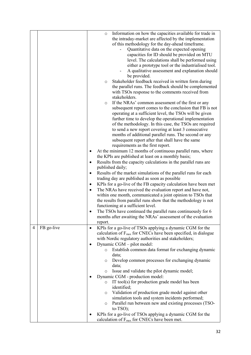|   |            | Information on how the capacities available for trade in<br>$\circ$<br>the intraday-market are affected by the implementation<br>of this methodology for the day-ahead timeframe.<br>Quantitative data on the expected opening<br>capacities for ID should be provided on MTU<br>level. The calculations shall be performed using<br>either a prototype tool or the industrialised tool.<br>A qualitative assessment and explanation should<br>be provided.<br>Stakeholder feedback received in written form during<br>O<br>the parallel runs. The feedback should be complemented<br>with TSOs response to the comments received from<br>stakeholders.<br>If the NRAs' common assessment of the first or any<br>$\circ$<br>subsequent report comes to the conclusion that FB is not<br>operating at a sufficient level, the TSOs will be given<br>further time to develop the operational implementation<br>of the methodology. In this case, the TSOs are required<br>to send a new report covering at least 3 consecutive<br>months of additional parallel runs. The second or any<br>subsequent report after that shall have the same<br>requirements as the first report.<br>At the minimum 12 months of continuous parallel runs, where<br>the KPIs are published at least on a monthly basis;<br>Results from the capacity calculations in the parallel runs are<br>٠<br>published daily;<br>Results of the market simulations of the parallel runs for each<br>$\bullet$<br>trading day are published as soon as possible<br>KPIs for a go-live of the FB capacity calculation have been met<br>٠<br>The NRAs have received the evaluation report and have not,<br>$\bullet$<br>within one month, communicated a joint opinion to TSOs that<br>the results from parallel runs show that the methodology is not<br>functioning at a sufficient level.<br>The TSOs have continued the parallel runs continuously for 6<br>months after awaiting the NRAs' assessment of the evaluation<br>report. |
|---|------------|---------------------------------------------------------------------------------------------------------------------------------------------------------------------------------------------------------------------------------------------------------------------------------------------------------------------------------------------------------------------------------------------------------------------------------------------------------------------------------------------------------------------------------------------------------------------------------------------------------------------------------------------------------------------------------------------------------------------------------------------------------------------------------------------------------------------------------------------------------------------------------------------------------------------------------------------------------------------------------------------------------------------------------------------------------------------------------------------------------------------------------------------------------------------------------------------------------------------------------------------------------------------------------------------------------------------------------------------------------------------------------------------------------------------------------------------------------------------------------------------------------------------------------------------------------------------------------------------------------------------------------------------------------------------------------------------------------------------------------------------------------------------------------------------------------------------------------------------------------------------------------------------------------------------------------------------------------------------------------------------------------|
| 4 | FB go-live | KPIs for a go-live of TSOs applying a dynamic CGM for the<br>٠<br>calculation of $F_{\text{max}}$ for CNECs have been specified, in dialogue<br>with Nordic regulatory authorities and stakeholders;<br>Dynamic CGM - pilot model:<br>Establish common data format for exchanging dynamic<br>$\circ$<br>data;<br>Develop common processes for exchanging dynamic<br>$\circ$<br>data;<br>Issue and validate the pilot dynamic model;<br>$\circ$<br>Dynamic CGM - production model:<br>IT tool(s) for production grade model has been<br>$\circ$<br>identified;<br>Validation of production grade model against other<br>$\circ$<br>simulation tools and system incidents performed;<br>Parallel run between new and existing processes (TSO-<br>$\circ$<br>$to-TSO);$<br>KPIs for a go-live of TSOs applying a dynamic CGM for the<br>calculation of F <sub>max</sub> for CNECs have been met.                                                                                                                                                                                                                                                                                                                                                                                                                                                                                                                                                                                                                                                                                                                                                                                                                                                                                                                                                                                                                                                                                                           |